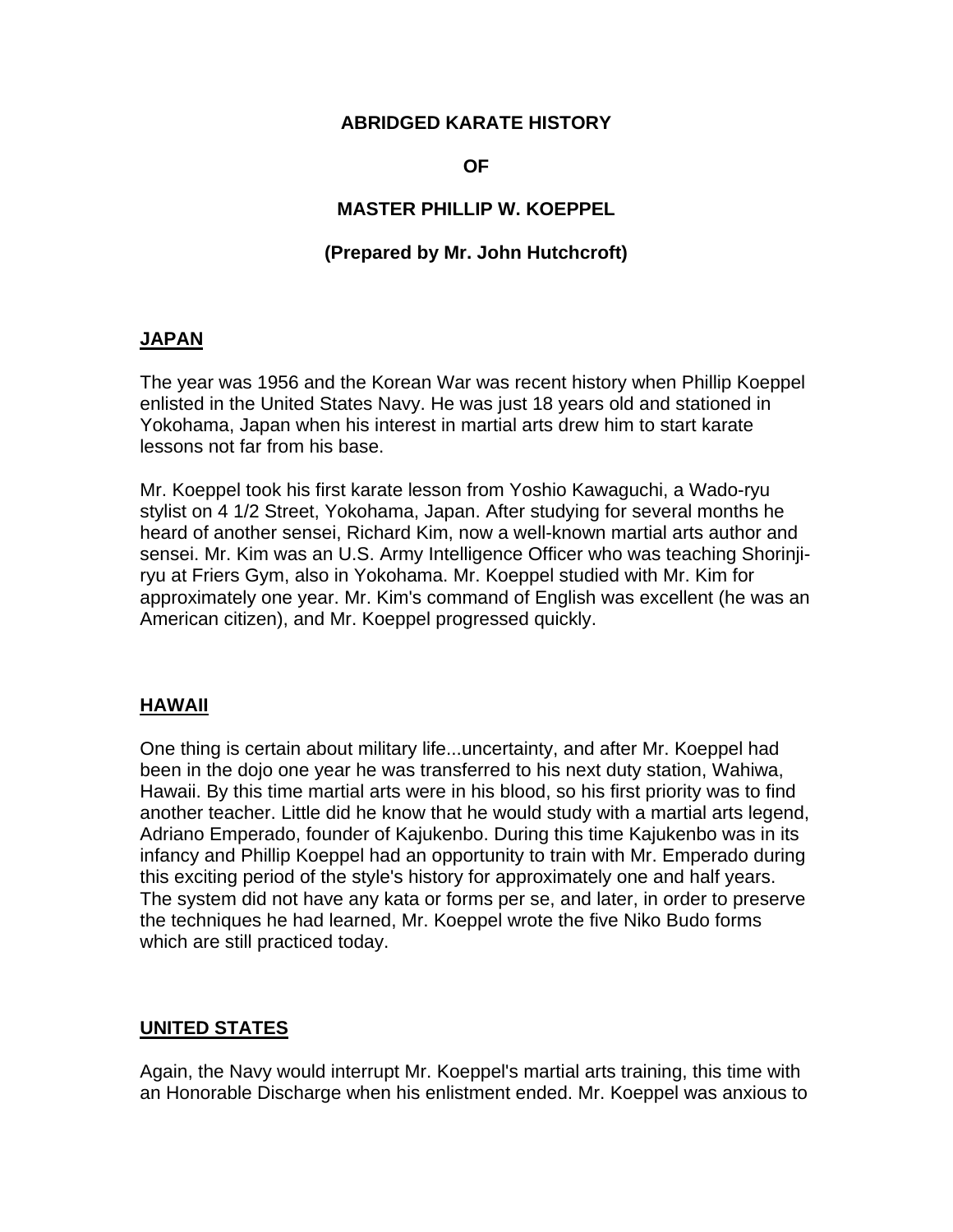## **ABRIDGED KARATE HISTORY**

### **OF**

# **MASTER PHILLIP W. KOEPPEL**

### **(Prepared by Mr. John Hutchcroft)**

### **JAPAN**

The year was 1956 and the Korean War was recent history when Phillip Koeppel enlisted in the United States Navy. He was just 18 years old and stationed in Yokohama, Japan when his interest in martial arts drew him to start karate lessons not far from his base.

Mr. Koeppel took his first karate lesson from Yoshio Kawaguchi, a Wado-ryu stylist on 4 1/2 Street, Yokohama, Japan. After studying for several months he heard of another sensei, Richard Kim, now a well-known martial arts author and sensei. Mr. Kim was an U.S. Army Intelligence Officer who was teaching Shorinjiryu at Friers Gym, also in Yokohama. Mr. Koeppel studied with Mr. Kim for approximately one year. Mr. Kim's command of English was excellent (he was an American citizen), and Mr. Koeppel progressed quickly.

### **HAWAII**

One thing is certain about military life...uncertainty, and after Mr. Koeppel had been in the dojo one year he was transferred to his next duty station, Wahiwa, Hawaii. By this time martial arts were in his blood, so his first priority was to find another teacher. Little did he know that he would study with a martial arts legend, Adriano Emperado, founder of Kajukenbo. During this time Kajukenbo was in its infancy and Phillip Koeppel had an opportunity to train with Mr. Emperado during this exciting period of the style's history for approximately one and half years. The system did not have any kata or forms per se, and later, in order to preserve the techniques he had learned, Mr. Koeppel wrote the five Niko Budo forms which are still practiced today.

### **UNITED STATES**

Again, the Navy would interrupt Mr. Koeppel's martial arts training, this time with an Honorable Discharge when his enlistment ended. Mr. Koeppel was anxious to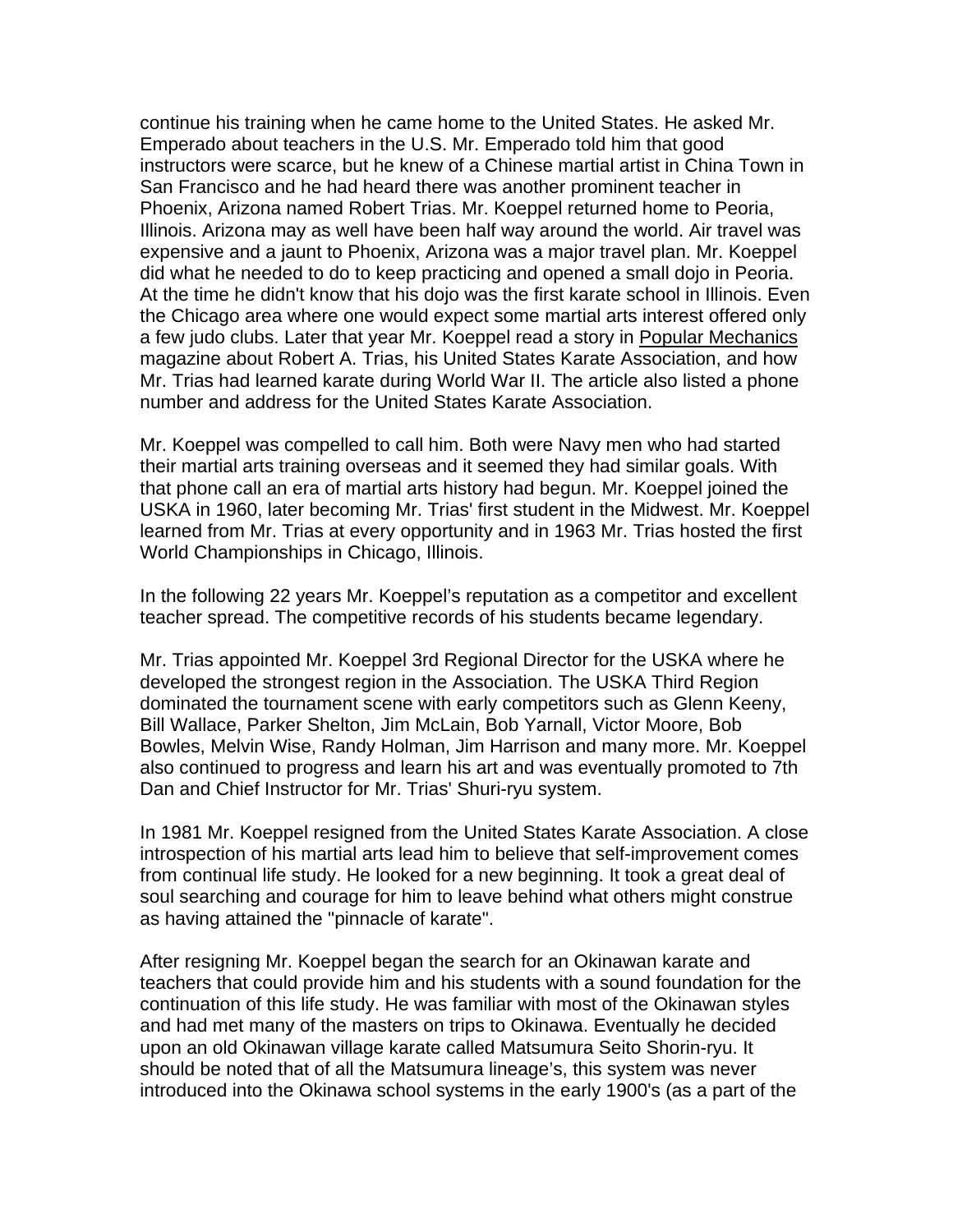continue his training when he came home to the United States. He asked Mr. Emperado about teachers in the U.S. Mr. Emperado told him that good instructors were scarce, but he knew of a Chinese martial artist in China Town in San Francisco and he had heard there was another prominent teacher in Phoenix, Arizona named Robert Trias. Mr. Koeppel returned home to Peoria, Illinois. Arizona may as well have been half way around the world. Air travel was expensive and a jaunt to Phoenix, Arizona was a major travel plan. Mr. Koeppel did what he needed to do to keep practicing and opened a small dojo in Peoria. At the time he didn't know that his dojo was the first karate school in Illinois. Even the Chicago area where one would expect some martial arts interest offered only a few judo clubs. Later that year Mr. Koeppel read a story in Popular Mechanics magazine about Robert A. Trias, his United States Karate Association, and how Mr. Trias had learned karate during World War II. The article also listed a phone number and address for the United States Karate Association.

Mr. Koeppel was compelled to call him. Both were Navy men who had started their martial arts training overseas and it seemed they had similar goals. With that phone call an era of martial arts history had begun. Mr. Koeppel joined the USKA in 1960, later becoming Mr. Trias' first student in the Midwest. Mr. Koeppel learned from Mr. Trias at every opportunity and in 1963 Mr. Trias hosted the first World Championships in Chicago, Illinois.

In the following 22 years Mr. Koeppel's reputation as a competitor and excellent teacher spread. The competitive records of his students became legendary.

Mr. Trias appointed Mr. Koeppel 3rd Regional Director for the USKA where he developed the strongest region in the Association. The USKA Third Region dominated the tournament scene with early competitors such as Glenn Keeny, Bill Wallace, Parker Shelton, Jim McLain, Bob Yarnall, Victor Moore, Bob Bowles, Melvin Wise, Randy Holman, Jim Harrison and many more. Mr. Koeppel also continued to progress and learn his art and was eventually promoted to 7th Dan and Chief Instructor for Mr. Trias' Shuri-ryu system.

In 1981 Mr. Koeppel resigned from the United States Karate Association. A close introspection of his martial arts lead him to believe that self-improvement comes from continual life study. He looked for a new beginning. It took a great deal of soul searching and courage for him to leave behind what others might construe as having attained the "pinnacle of karate".

After resigning Mr. Koeppel began the search for an Okinawan karate and teachers that could provide him and his students with a sound foundation for the continuation of this life study. He was familiar with most of the Okinawan styles and had met many of the masters on trips to Okinawa. Eventually he decided upon an old Okinawan village karate called Matsumura Seito Shorin-ryu. It should be noted that of all the Matsumura lineage's, this system was never introduced into the Okinawa school systems in the early 1900's (as a part of the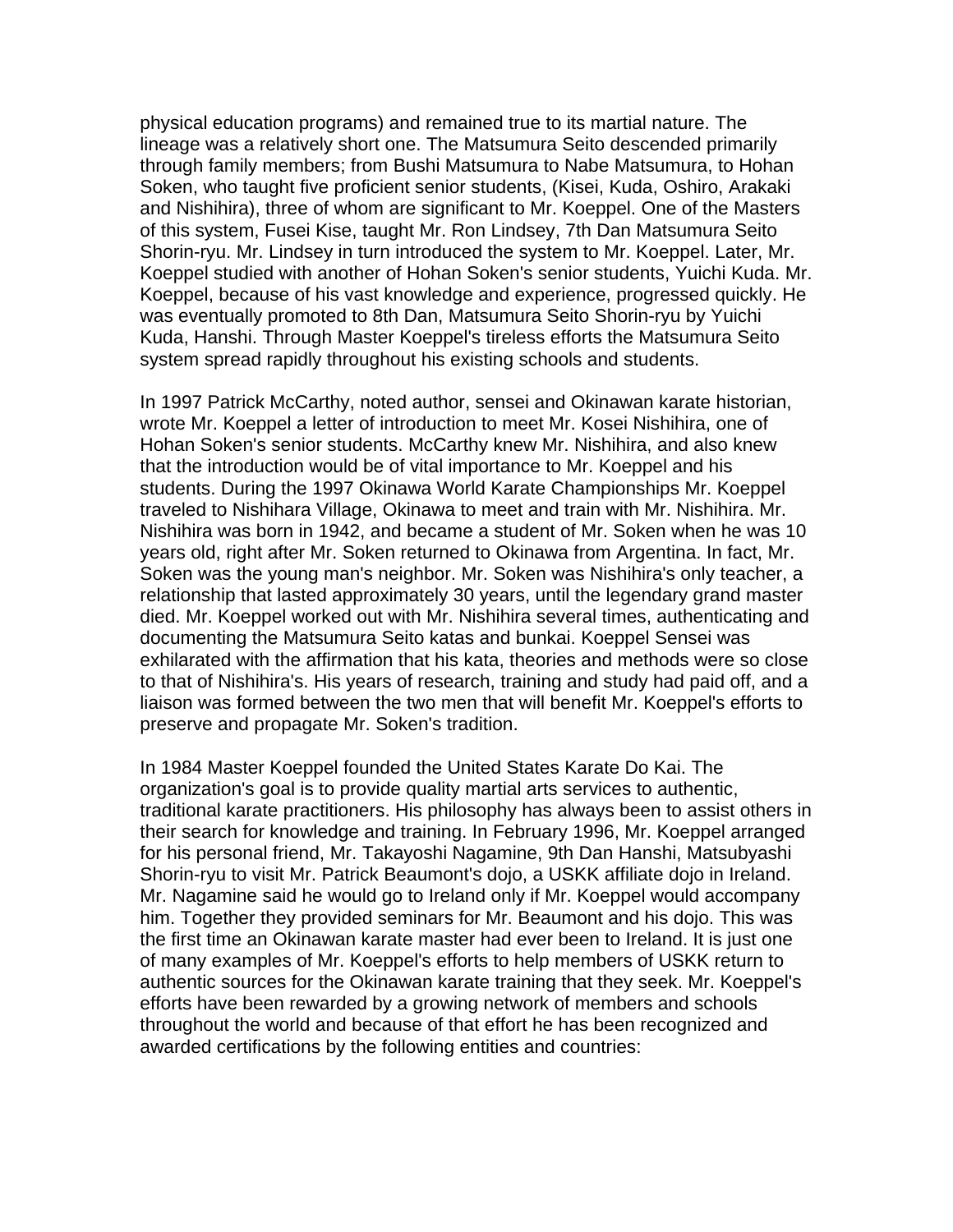physical education programs) and remained true to its martial nature. The lineage was a relatively short one. The Matsumura Seito descended primarily through family members; from Bushi Matsumura to Nabe Matsumura, to Hohan Soken, who taught five proficient senior students, (Kisei, Kuda, Oshiro, Arakaki and Nishihira), three of whom are significant to Mr. Koeppel. One of the Masters of this system, Fusei Kise, taught Mr. Ron Lindsey, 7th Dan Matsumura Seito Shorin-ryu. Mr. Lindsey in turn introduced the system to Mr. Koeppel. Later, Mr. Koeppel studied with another of Hohan Soken's senior students, Yuichi Kuda. Mr. Koeppel, because of his vast knowledge and experience, progressed quickly. He was eventually promoted to 8th Dan, Matsumura Seito Shorin-ryu by Yuichi Kuda, Hanshi. Through Master Koeppel's tireless efforts the Matsumura Seito system spread rapidly throughout his existing schools and students.

In 1997 Patrick McCarthy, noted author, sensei and Okinawan karate historian, wrote Mr. Koeppel a letter of introduction to meet Mr. Kosei Nishihira, one of Hohan Soken's senior students. McCarthy knew Mr. Nishihira, and also knew that the introduction would be of vital importance to Mr. Koeppel and his students. During the 1997 Okinawa World Karate Championships Mr. Koeppel traveled to Nishihara Village, Okinawa to meet and train with Mr. Nishihira. Mr. Nishihira was born in 1942, and became a student of Mr. Soken when he was 10 years old, right after Mr. Soken returned to Okinawa from Argentina. In fact, Mr. Soken was the young man's neighbor. Mr. Soken was Nishihira's only teacher, a relationship that lasted approximately 30 years, until the legendary grand master died. Mr. Koeppel worked out with Mr. Nishihira several times, authenticating and documenting the Matsumura Seito katas and bunkai. Koeppel Sensei was exhilarated with the affirmation that his kata, theories and methods were so close to that of Nishihira's. His years of research, training and study had paid off, and a liaison was formed between the two men that will benefit Mr. Koeppel's efforts to preserve and propagate Mr. Soken's tradition.

In 1984 Master Koeppel founded the United States Karate Do Kai. The organization's goal is to provide quality martial arts services to authentic, traditional karate practitioners. His philosophy has always been to assist others in their search for knowledge and training. In February 1996, Mr. Koeppel arranged for his personal friend, Mr. Takayoshi Nagamine, 9th Dan Hanshi, Matsubyashi Shorin-ryu to visit Mr. Patrick Beaumont's dojo, a USKK affiliate dojo in Ireland. Mr. Nagamine said he would go to Ireland only if Mr. Koeppel would accompany him. Together they provided seminars for Mr. Beaumont and his dojo. This was the first time an Okinawan karate master had ever been to Ireland. It is just one of many examples of Mr. Koeppel's efforts to help members of USKK return to authentic sources for the Okinawan karate training that they seek. Mr. Koeppel's efforts have been rewarded by a growing network of members and schools throughout the world and because of that effort he has been recognized and awarded certifications by the following entities and countries: